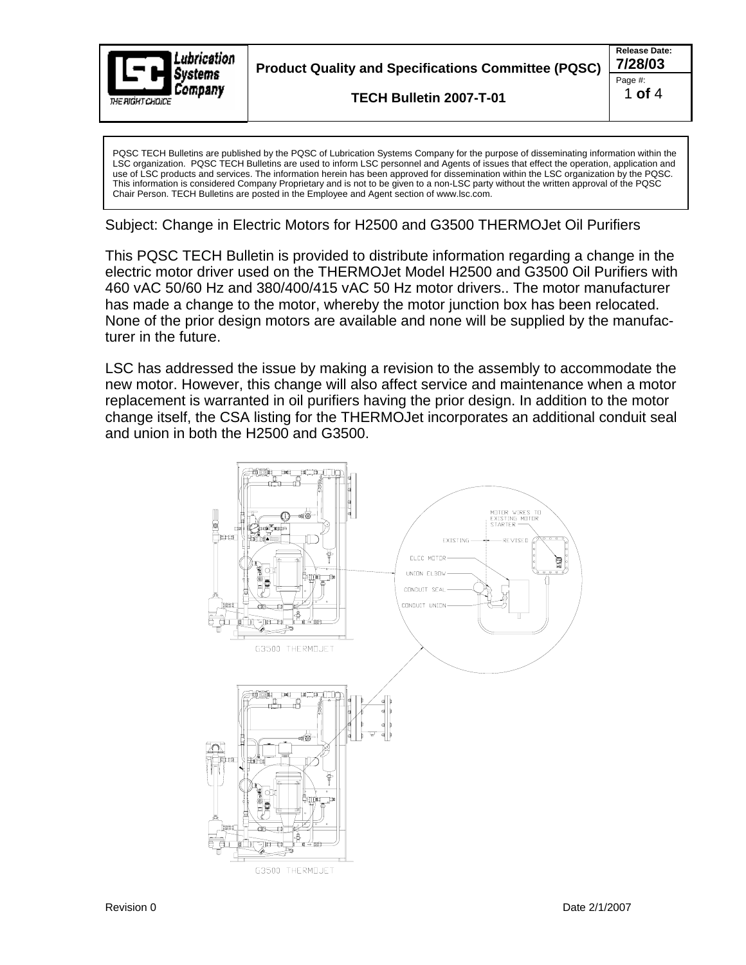

**Product Quality and Specifications Committee (PQSC) 7/28/03**

**TECH Bulletin 2007-T-01** 

PQSC TECH Bulletins are published by the PQSC of Lubrication Systems Company for the purpose of disseminating information within the LSC organization. PQSC TECH Bulletins are used to inform LSC personnel and Agents of issues that effect the operation, application and use of LSC products and services. The information herein has been approved for dissemination within the LSC organization by the PQSC. This information is considered Company Proprietary and is not to be given to a non-LSC party without the written approval of the PQSC Chair Person. TECH Bulletins are posted in the Employee and Agent section of www.lsc.com.

Subject: Change in Electric Motors for H2500 and G3500 THERMOJet Oil Purifiers

This PQSC TECH Bulletin is provided to distribute information regarding a change in the electric motor driver used on the THERMOJet Model H2500 and G3500 Oil Purifiers with 460 vAC 50/60 Hz and 380/400/415 vAC 50 Hz motor drivers.. The motor manufacturer has made a change to the motor, whereby the motor junction box has been relocated. None of the prior design motors are available and none will be supplied by the manufacturer in the future.

LSC has addressed the issue by making a revision to the assembly to accommodate the new motor. However, this change will also affect service and maintenance when a motor replacement is warranted in oil purifiers having the prior design. In addition to the motor change itself, the CSA listing for the THERMOJet incorporates an additional conduit seal and union in both the H2500 and G3500.

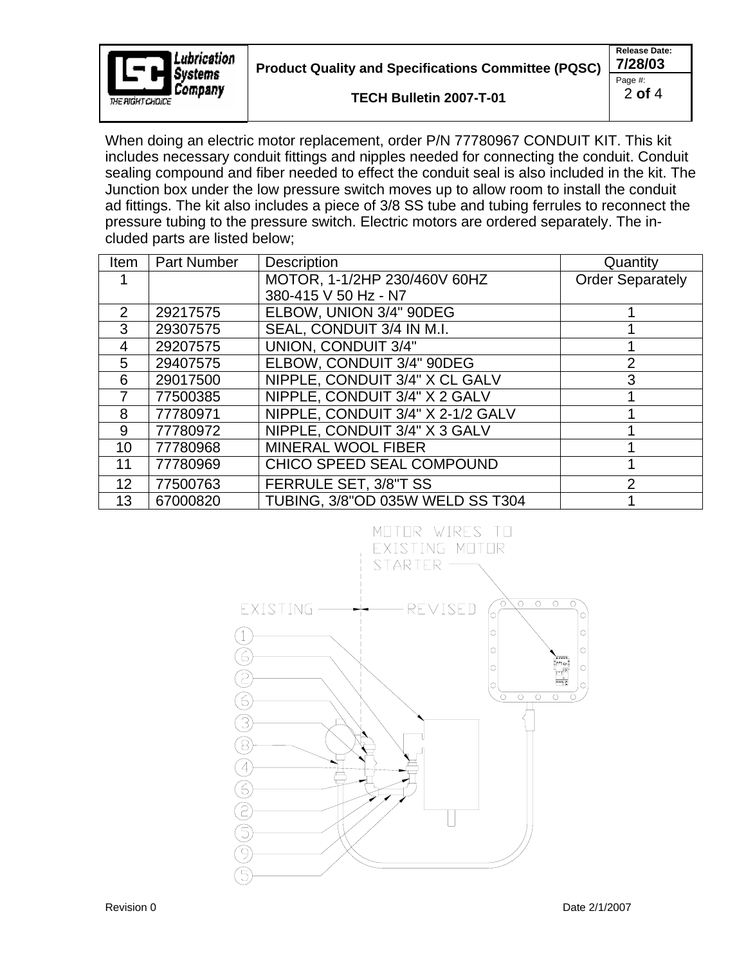

**Product Quality and Specifications Committee (PQSC) 7/28/03**

**TECH Bulletin 2007-T-01** 

**Release Date:**  Page #: 2 **of** 4

When doing an electric motor replacement, order P/N 77780967 CONDUIT KIT. This kit includes necessary conduit fittings and nipples needed for connecting the conduit. Conduit sealing compound and fiber needed to effect the conduit seal is also included in the kit. The Junction box under the low pressure switch moves up to allow room to install the conduit ad fittings. The kit also includes a piece of 3/8 SS tube and tubing ferrules to reconnect the pressure tubing to the pressure switch. Electric motors are ordered separately. The included parts are listed below;

| Item            | <b>Part Number</b> | <b>Description</b>                | Quantity                |
|-----------------|--------------------|-----------------------------------|-------------------------|
|                 |                    | MOTOR, 1-1/2HP 230/460V 60HZ      | <b>Order Separately</b> |
|                 |                    | 380-415 V 50 Hz - N7              |                         |
| 2               | 29217575           | ELBOW, UNION 3/4" 90DEG           |                         |
| 3               | 29307575           | SEAL, CONDUIT 3/4 IN M.I.         |                         |
| $\overline{4}$  | 29207575           | <b>UNION, CONDUIT 3/4"</b>        |                         |
| 5               | 29407575           | ELBOW, CONDUIT 3/4" 90DEG         | 2                       |
| 6               | 29017500           | NIPPLE, CONDUIT 3/4" X CL GALV    | 3                       |
| 7               | 77500385           | NIPPLE, CONDUIT 3/4" X 2 GALV     |                         |
| 8               | 77780971           | NIPPLE, CONDUIT 3/4" X 2-1/2 GALV |                         |
| 9               | 77780972           | NIPPLE, CONDUIT 3/4" X 3 GALV     |                         |
| 10 <sup>°</sup> | 77780968           | <b>MINERAL WOOL FIBER</b>         |                         |
| 11              | 77780969           | CHICO SPEED SEAL COMPOUND         |                         |
| 12              | 77500763           | FERRULE SET, 3/8"T SS             | $\mathcal{P}$           |
| 13              | 67000820           | TUBING, 3/8"OD 035W WELD SS T304  |                         |

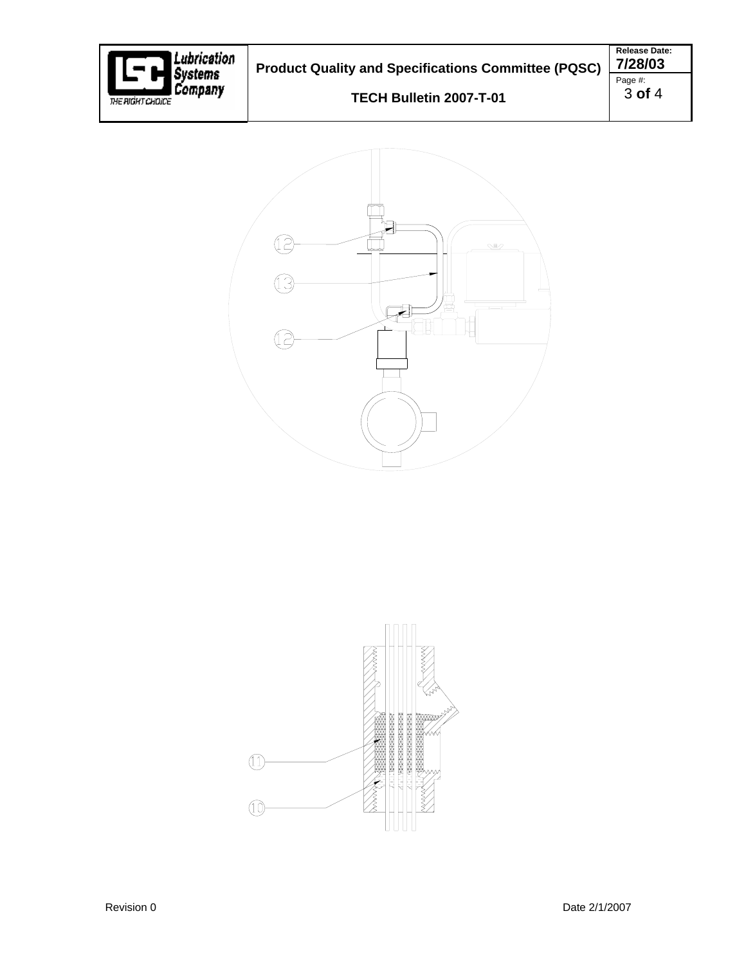